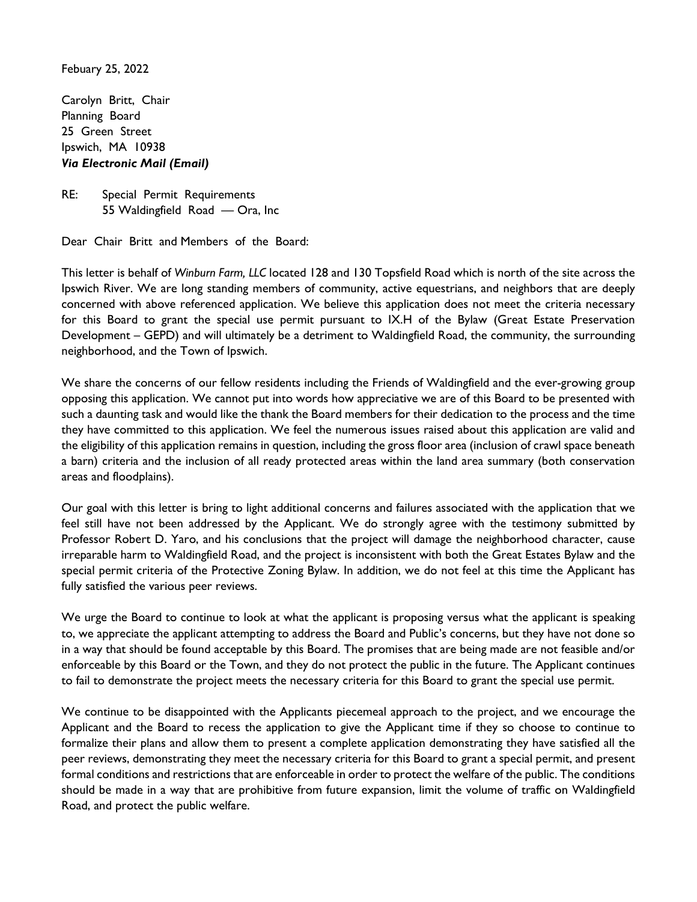Febuary 25, 2022

Carolyn Britt, Chair Planning Board 25 Green Street Ipswich, MA 10938 *Via Electronic Mail (Email)*

RE: Special Permit Requirements 55 Waldingfield Road — Ora, Inc

Dear Chair Britt and Members of the Board:

This letter is behalf of *Winburn Farm, LLC* located 128 and 130 Topsfield Road which is north of the site across the Ipswich River. We are long standing members of community, active equestrians, and neighbors that are deeply concerned with above referenced application. We believe this application does not meet the criteria necessary for this Board to grant the special use permit pursuant to IX.H of the Bylaw (Great Estate Preservation Development – GEPD) and will ultimately be a detriment to Waldingfield Road, the community, the surrounding neighborhood, and the Town of Ipswich.

We share the concerns of our fellow residents including the Friends of Waldingfield and the ever-growing group opposing this application. We cannot put into words how appreciative we are of this Board to be presented with such a daunting task and would like the thank the Board members for their dedication to the process and the time they have committed to this application. We feel the numerous issues raised about this application are valid and the eligibility of this application remains in question, including the gross floor area (inclusion of crawl space beneath a barn) criteria and the inclusion of all ready protected areas within the land area summary (both conservation areas and floodplains).

Our goal with this letter is bring to light additional concerns and failures associated with the application that we feel still have not been addressed by the Applicant. We do strongly agree with the testimony submitted by Professor Robert D. Yaro, and his conclusions that the project will damage the neighborhood character, cause irreparable harm to Waldingfield Road, and the project is inconsistent with both the Great Estates Bylaw and the special permit criteria of the Protective Zoning Bylaw. In addition, we do not feel at this time the Applicant has fully satisfied the various peer reviews.

We urge the Board to continue to look at what the applicant is proposing versus what the applicant is speaking to, we appreciate the applicant attempting to address the Board and Public's concerns, but they have not done so in a way that should be found acceptable by this Board. The promises that are being made are not feasible and/or enforceable by this Board or the Town, and they do not protect the public in the future. The Applicant continues to fail to demonstrate the project meets the necessary criteria for this Board to grant the special use permit.

We continue to be disappointed with the Applicants piecemeal approach to the project, and we encourage the Applicant and the Board to recess the application to give the Applicant time if they so choose to continue to formalize their plans and allow them to present a complete application demonstrating they have satisfied all the peer reviews, demonstrating they meet the necessary criteria for this Board to grant a special permit, and present formal conditions and restrictions that are enforceable in order to protect the welfare of the public. The conditions should be made in a way that are prohibitive from future expansion, limit the volume of traffic on Waldingfield Road, and protect the public welfare.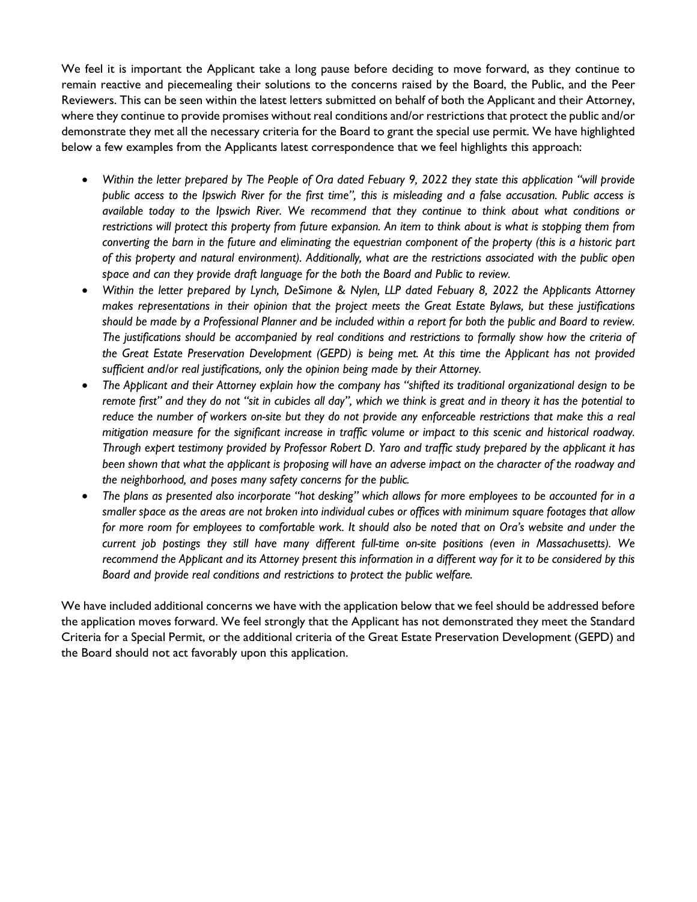We feel it is important the Applicant take a long pause before deciding to move forward, as they continue to remain reactive and piecemealing their solutions to the concerns raised by the Board, the Public, and the Peer Reviewers. This can be seen within the latest letters submitted on behalf of both the Applicant and their Attorney, where they continue to provide promises without real conditions and/or restrictions that protect the public and/or demonstrate they met all the necessary criteria for the Board to grant the special use permit. We have highlighted below a few examples from the Applicants latest correspondence that we feel highlights this approach:

- *Within the letter prepared by The People of Ora dated Febuary 9, 2022 they state this application "will provide public access to the Ipswich River for the first time", this is misleading and a false accusation. Public access is available today to the Ipswich River. We recommend that they continue to think about what conditions or*  restrictions will protect this property from future expansion. An item to think about is what is stopping them from *converting the barn in the future and eliminating the equestrian component of the property (this is a historic part of this property and natural environment). Additionally, what are the restrictions associated with the public open space and can they provide draft language for the both the Board and Public to review.*
- *Within the letter prepared by Lynch, DeSimone & Nylen, LLP dated Febuary 8, 2022 the Applicants Attorney makes representations in their opinion that the project meets the Great Estate Bylaws, but these justifications should be made by a Professional Planner and be included within a report for both the public and Board to review. The justifications should be accompanied by real conditions and restrictions to formally show how the criteria of the Great Estate Preservation Development (GEPD) is being met. At this time the Applicant has not provided sufficient and/or real justifications, only the opinion being made by their Attorney.*
- *The Applicant and their Attorney explain how the company has "shifted its traditional organizational design to be remote first" and they do not "sit in cubicles all day", which we think is great and in theory it has the potential to*  reduce the number of workers on-site but they do not provide any enforceable restrictions that make this a real *mitigation measure for the significant increase in traffic volume or impact to this scenic and historical roadway. Through expert testimony provided by Professor Robert D. Yaro and traffic study prepared by the applicant it has been shown that what the applicant is proposing will have an adverse impact on the character of the roadway and the neighborhood, and poses many safety concerns for the public.*
- *The plans as presented also incorporate "hot desking" which allows for more employees to be accounted for in a smaller space as the areas are not broken into individual cubes or offices with minimum square footages that allow for more room for employees to comfortable work. It should also be noted that on Ora's website and under the current job postings they still have many different full-time on-site positions (even in Massachusetts). We recommend the Applicant and its Attorney present this information in a different way for it to be considered by this Board and provide real conditions and restrictions to protect the public welfare.*

We have included additional concerns we have with the application below that we feel should be addressed before the application moves forward. We feel strongly that the Applicant has not demonstrated they meet the Standard Criteria for a Special Permit, or the additional criteria of the Great Estate Preservation Development (GEPD) and the Board should not act favorably upon this application.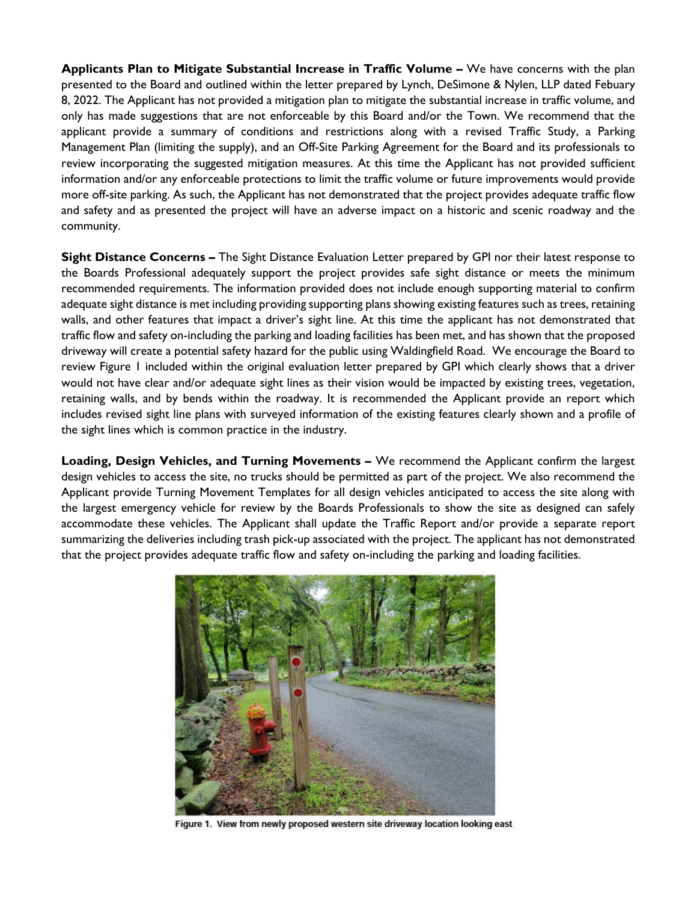**Applicants Plan to Mitigate Substantial Increase in Traffic Volume –** We have concerns with the plan presented to the Board and outlined within the letter prepared by Lynch, DeSimone & Nylen, LLP dated Febuary 8, 2022. The Applicant has not provided a mitigation plan to mitigate the substantial increase in traffic volume, and only has made suggestions that are not enforceable by this Board and/or the Town. We recommend that the applicant provide a summary of conditions and restrictions along with a revised Traffic Study, a Parking Management Plan (limiting the supply), and an Off-Site Parking Agreement for the Board and its professionals to review incorporating the suggested mitigation measures. At this time the Applicant has not provided sufficient information and/or any enforceable protections to limit the traffic volume or future improvements would provide more off-site parking. As such, the Applicant has not demonstrated that the project provides adequate traffic flow and safety and as presented the project will have an adverse impact on a historic and scenic roadway and the community.

**Sight Distance Concerns –** The Sight Distance Evaluation Letter prepared by GPI nor their latest response to the Boards Professional adequately support the project provides safe sight distance or meets the minimum recommended requirements. The information provided does not include enough supporting material to confirm adequate sight distance is met including providing supporting plans showing existing features such as trees, retaining walls, and other features that impact a driver's sight line. At this time the applicant has not demonstrated that traffic flow and safety on-including the parking and loading facilities has been met, and has shown that the proposed driveway will create a potential safety hazard for the public using Waldingfield Road. We encourage the Board to review Figure 1 included within the original evaluation letter prepared by GPI which clearly shows that a driver would not have clear and/or adequate sight lines as their vision would be impacted by existing trees, vegetation, retaining walls, and by bends within the roadway. It is recommended the Applicant provide an report which includes revised sight line plans with surveyed information of the existing features clearly shown and a profile of the sight lines which is common practice in the industry.

**Loading, Design Vehicles, and Turning Movements –** We recommend the Applicant confirm the largest design vehicles to access the site, no trucks should be permitted as part of the project. We also recommend the Applicant provide Turning Movement Templates for all design vehicles anticipated to access the site along with the largest emergency vehicle for review by the Boards Professionals to show the site as designed can safely accommodate these vehicles. The Applicant shall update the Traffic Report and/or provide a separate report summarizing the deliveries including trash pick-up associated with the project. The applicant has not demonstrated that the project provides adequate traffic flow and safety on-including the parking and loading facilities.



Figure 1. View from newly proposed western site driveway location looking east